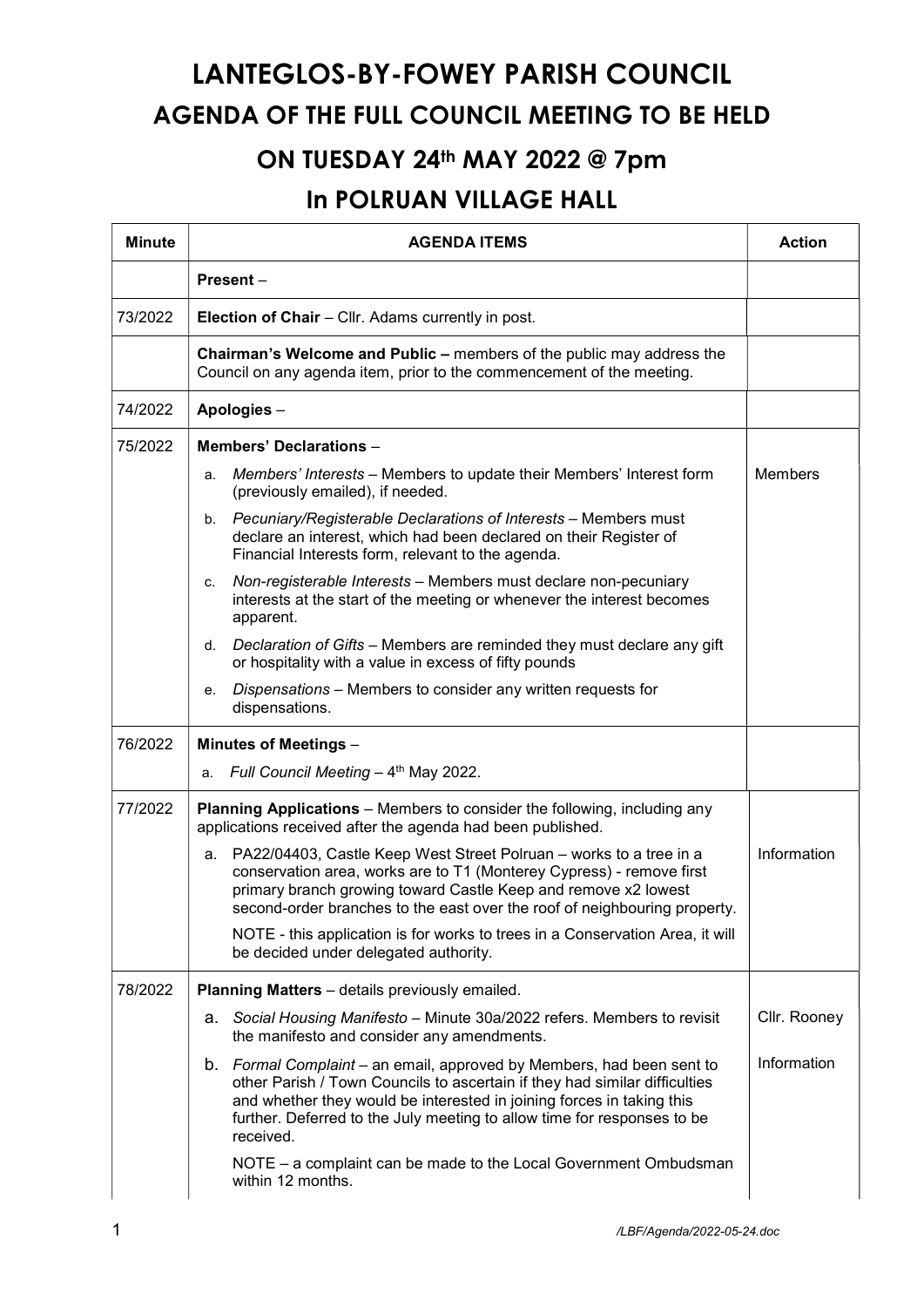## LANTEGLOS-BY-FOWEY PARISH COUNCIL AGENDA OF THE FULL COUNCIL MEETING TO BE HELD

## ON TUESDAY 24th MAY 2022 @ 7pm

## In POLRUAN VILLAGE HALL

| <b>Minute</b> | <b>AGENDA ITEMS</b>                                                                                                                                                                                                                                                                                                  | <b>Action</b>  |  |
|---------------|----------------------------------------------------------------------------------------------------------------------------------------------------------------------------------------------------------------------------------------------------------------------------------------------------------------------|----------------|--|
|               | Present-                                                                                                                                                                                                                                                                                                             |                |  |
| 73/2022       | Election of Chair - Cllr. Adams currently in post.                                                                                                                                                                                                                                                                   |                |  |
|               | Chairman's Welcome and Public - members of the public may address the<br>Council on any agenda item, prior to the commencement of the meeting.                                                                                                                                                                       |                |  |
| 74/2022       | Apologies-                                                                                                                                                                                                                                                                                                           |                |  |
| 75/2022       | <b>Members' Declarations -</b>                                                                                                                                                                                                                                                                                       |                |  |
|               | Members' Interests - Members to update their Members' Interest form<br>a.<br>(previously emailed), if needed.                                                                                                                                                                                                        | <b>Members</b> |  |
|               | Pecuniary/Registerable Declarations of Interests - Members must<br>b.<br>declare an interest, which had been declared on their Register of<br>Financial Interests form, relevant to the agenda.                                                                                                                      |                |  |
|               | Non-registerable Interests - Members must declare non-pecuniary<br>C.<br>interests at the start of the meeting or whenever the interest becomes<br>apparent.                                                                                                                                                         |                |  |
|               | Declaration of Gifts - Members are reminded they must declare any gift<br>d.<br>or hospitality with a value in excess of fifty pounds                                                                                                                                                                                |                |  |
|               | Dispensations - Members to consider any written requests for<br>е.<br>dispensations.                                                                                                                                                                                                                                 |                |  |
| 76/2022       | <b>Minutes of Meetings -</b>                                                                                                                                                                                                                                                                                         |                |  |
|               | Full Council Meeting - 4th May 2022.<br>a.                                                                                                                                                                                                                                                                           |                |  |
| 77/2022       | <b>Planning Applications</b> – Members to consider the following, including any<br>applications received after the agenda had been published.                                                                                                                                                                        |                |  |
|               | PA22/04403, Castle Keep West Street Polruan - works to a tree in a<br>a.<br>conservation area, works are to T1 (Monterey Cypress) - remove first<br>primary branch growing toward Castle Keep and remove x2 lowest<br>second-order branches to the east over the roof of neighbouring property.                      | Information    |  |
|               | NOTE - this application is for works to trees in a Conservation Area, it will<br>be decided under delegated authority.                                                                                                                                                                                               |                |  |
| 78/2022       | Planning Matters - details previously emailed.                                                                                                                                                                                                                                                                       |                |  |
|               | a. Social Housing Manifesto - Minute 30a/2022 refers. Members to revisit<br>the manifesto and consider any amendments.                                                                                                                                                                                               | Cllr. Rooney   |  |
|               | b. Formal Complaint – an email, approved by Members, had been sent to<br>other Parish / Town Councils to ascertain if they had similar difficulties<br>and whether they would be interested in joining forces in taking this<br>further. Deferred to the July meeting to allow time for responses to be<br>received. | Information    |  |
|               | NOTE - a complaint can be made to the Local Government Ombudsman<br>within 12 months.                                                                                                                                                                                                                                |                |  |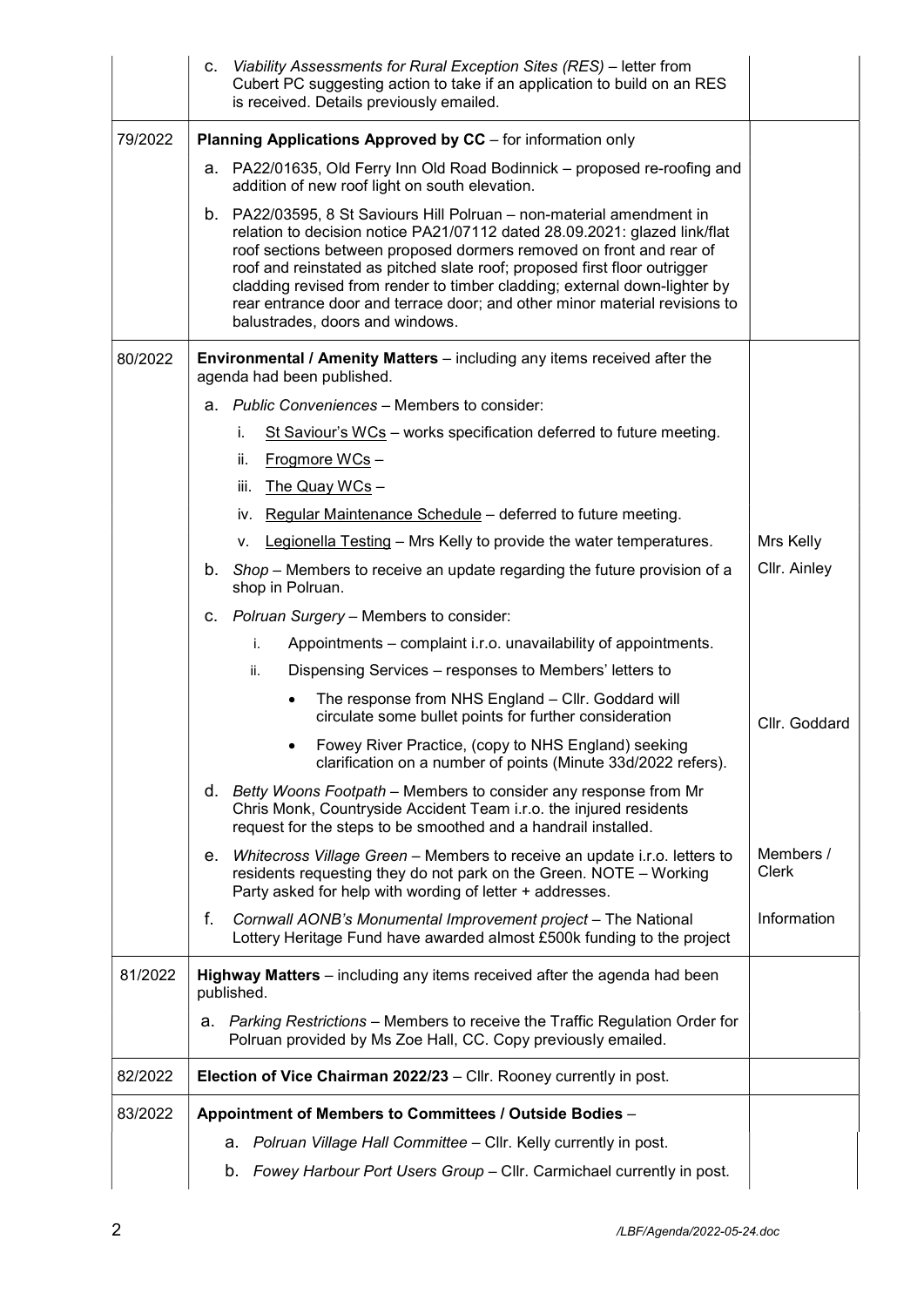|         | Viability Assessments for Rural Exception Sites (RES) - letter from<br>C.<br>Cubert PC suggesting action to take if an application to build on an RES<br>is received. Details previously emailed.                                                                                                                                                                                                                                                                                                    |                    |
|---------|------------------------------------------------------------------------------------------------------------------------------------------------------------------------------------------------------------------------------------------------------------------------------------------------------------------------------------------------------------------------------------------------------------------------------------------------------------------------------------------------------|--------------------|
| 79/2022 | Planning Applications Approved by CC - for information only                                                                                                                                                                                                                                                                                                                                                                                                                                          |                    |
|         | a. PA22/01635, Old Ferry Inn Old Road Bodinnick - proposed re-roofing and<br>addition of new roof light on south elevation.                                                                                                                                                                                                                                                                                                                                                                          |                    |
|         | b. PA22/03595, 8 St Saviours Hill Polruan – non-material amendment in<br>relation to decision notice PA21/07112 dated 28.09.2021: glazed link/flat<br>roof sections between proposed dormers removed on front and rear of<br>roof and reinstated as pitched slate roof; proposed first floor outrigger<br>cladding revised from render to timber cladding; external down-lighter by<br>rear entrance door and terrace door; and other minor material revisions to<br>balustrades, doors and windows. |                    |
| 80/2022 | <b>Environmental / Amenity Matters</b> – including any items received after the<br>agenda had been published.                                                                                                                                                                                                                                                                                                                                                                                        |                    |
|         | a. Public Conveniences – Members to consider:                                                                                                                                                                                                                                                                                                                                                                                                                                                        |                    |
|         | St Saviour's WCs - works specification deferred to future meeting.<br>İ.                                                                                                                                                                                                                                                                                                                                                                                                                             |                    |
|         | Frogmore WCs-<br>ii.                                                                                                                                                                                                                                                                                                                                                                                                                                                                                 |                    |
|         | The Quay WCs -<br>iii.                                                                                                                                                                                                                                                                                                                                                                                                                                                                               |                    |
|         | iv. Regular Maintenance Schedule - deferred to future meeting.                                                                                                                                                                                                                                                                                                                                                                                                                                       |                    |
|         | Legionella Testing - Mrs Kelly to provide the water temperatures.<br>۷.                                                                                                                                                                                                                                                                                                                                                                                                                              | Mrs Kelly          |
|         | b. Shop – Members to receive an update regarding the future provision of a<br>shop in Polruan.                                                                                                                                                                                                                                                                                                                                                                                                       | Cllr. Ainley       |
|         | c. Polruan Surgery - Members to consider:                                                                                                                                                                                                                                                                                                                                                                                                                                                            |                    |
|         | Appointments – complaint i.r.o. unavailability of appointments.<br>İ.                                                                                                                                                                                                                                                                                                                                                                                                                                |                    |
|         | ii.<br>Dispensing Services – responses to Members' letters to                                                                                                                                                                                                                                                                                                                                                                                                                                        |                    |
|         | The response from NHS England - Cllr. Goddard will<br>circulate some bullet points for further consideration                                                                                                                                                                                                                                                                                                                                                                                         | Cllr. Goddard      |
|         | Fowey River Practice, (copy to NHS England) seeking<br>clarification on a number of points (Minute 33d/2022 refers).                                                                                                                                                                                                                                                                                                                                                                                 |                    |
|         | d. Betty Woons Footpath – Members to consider any response from Mr<br>Chris Monk, Countryside Accident Team i.r.o. the injured residents<br>request for the steps to be smoothed and a handrail installed.                                                                                                                                                                                                                                                                                           |                    |
|         | Whitecross Village Green - Members to receive an update i.r.o. letters to<br>е.<br>residents requesting they do not park on the Green. NOTE - Working<br>Party asked for help with wording of letter + addresses.                                                                                                                                                                                                                                                                                    | Members /<br>Clerk |
|         | f.<br>Cornwall AONB's Monumental Improvement project - The National<br>Lottery Heritage Fund have awarded almost £500k funding to the project                                                                                                                                                                                                                                                                                                                                                        | Information        |
| 81/2022 | Highway Matters - including any items received after the agenda had been<br>published.                                                                                                                                                                                                                                                                                                                                                                                                               |                    |
|         | Parking Restrictions - Members to receive the Traffic Regulation Order for<br>а.<br>Polruan provided by Ms Zoe Hall, CC. Copy previously emailed.                                                                                                                                                                                                                                                                                                                                                    |                    |
| 82/2022 | Election of Vice Chairman 2022/23 - Cllr. Rooney currently in post.                                                                                                                                                                                                                                                                                                                                                                                                                                  |                    |
| 83/2022 | Appointment of Members to Committees / Outside Bodies -                                                                                                                                                                                                                                                                                                                                                                                                                                              |                    |
|         | a. Polruan Village Hall Committee - Cllr. Kelly currently in post.                                                                                                                                                                                                                                                                                                                                                                                                                                   |                    |
|         | Fowey Harbour Port Users Group - Cllr. Carmichael currently in post.<br>b.                                                                                                                                                                                                                                                                                                                                                                                                                           |                    |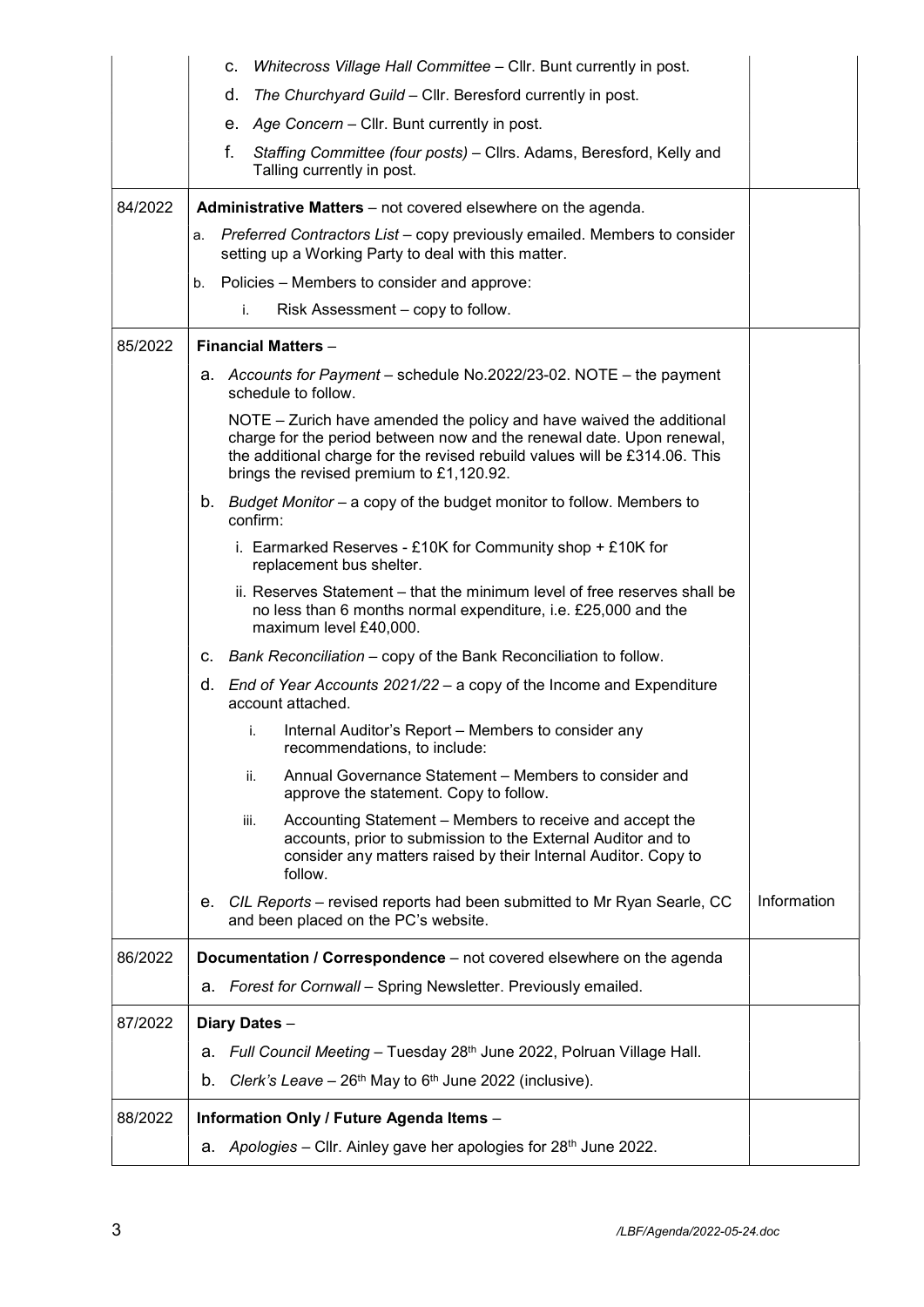|         | Whitecross Village Hall Committee - Cllr. Bunt currently in post.<br>c.                                                                                                                                                                                                 |             |  |
|---------|-------------------------------------------------------------------------------------------------------------------------------------------------------------------------------------------------------------------------------------------------------------------------|-------------|--|
|         | The Churchyard Guild - Cllr. Beresford currently in post.<br>d.                                                                                                                                                                                                         |             |  |
|         | e. Age Concern - Cllr. Bunt currently in post.                                                                                                                                                                                                                          |             |  |
|         | f.<br>Staffing Committee (four posts) - Cllrs. Adams, Beresford, Kelly and<br>Talling currently in post.                                                                                                                                                                |             |  |
| 84/2022 | <b>Administrative Matters</b> – not covered elsewhere on the agenda.                                                                                                                                                                                                    |             |  |
|         | Preferred Contractors List – copy previously emailed. Members to consider<br>а.<br>setting up a Working Party to deal with this matter.                                                                                                                                 |             |  |
|         | Policies – Members to consider and approve:<br>b.                                                                                                                                                                                                                       |             |  |
|         | i.<br>Risk Assessment - copy to follow.                                                                                                                                                                                                                                 |             |  |
| 85/2022 | <b>Financial Matters -</b>                                                                                                                                                                                                                                              |             |  |
|         | a. Accounts for Payment - schedule No.2022/23-02. NOTE - the payment<br>schedule to follow.                                                                                                                                                                             |             |  |
|         | NOTE – Zurich have amended the policy and have waived the additional<br>charge for the period between now and the renewal date. Upon renewal,<br>the additional charge for the revised rebuild values will be £314.06. This<br>brings the revised premium to £1,120.92. |             |  |
|         | b. Budget Monitor – a copy of the budget monitor to follow. Members to<br>confirm:                                                                                                                                                                                      |             |  |
|         | i. Earmarked Reserves - £10K for Community shop + £10K for<br>replacement bus shelter.                                                                                                                                                                                  |             |  |
|         | ii. Reserves Statement – that the minimum level of free reserves shall be<br>no less than 6 months normal expenditure, i.e. £25,000 and the<br>maximum level £40,000.                                                                                                   |             |  |
|         | c. Bank Reconciliation – copy of the Bank Reconciliation to follow.                                                                                                                                                                                                     |             |  |
|         | d. End of Year Accounts 2021/22 – a copy of the Income and Expenditure<br>account attached.                                                                                                                                                                             |             |  |
|         | Internal Auditor's Report – Members to consider any<br>i.<br>recommendations, to include:                                                                                                                                                                               |             |  |
|         | Annual Governance Statement – Members to consider and<br>ii.<br>approve the statement. Copy to follow.                                                                                                                                                                  |             |  |
|         | Accounting Statement – Members to receive and accept the<br>iii.<br>accounts, prior to submission to the External Auditor and to<br>consider any matters raised by their Internal Auditor. Copy to<br>follow.                                                           |             |  |
|         | e. CIL Reports - revised reports had been submitted to Mr Ryan Searle, CC<br>and been placed on the PC's website.                                                                                                                                                       | Information |  |
| 86/2022 | Documentation / Correspondence - not covered elsewhere on the agenda                                                                                                                                                                                                    |             |  |
|         | a. Forest for Cornwall - Spring Newsletter. Previously emailed.                                                                                                                                                                                                         |             |  |
| 87/2022 | Diary Dates -                                                                                                                                                                                                                                                           |             |  |
|         | a. Full Council Meeting - Tuesday 28 <sup>th</sup> June 2022, Polruan Village Hall.                                                                                                                                                                                     |             |  |
|         | Clerk's Leave – $26th$ May to $6th$ June 2022 (inclusive).<br>b.                                                                                                                                                                                                        |             |  |
| 88/2022 | Information Only / Future Agenda Items -                                                                                                                                                                                                                                |             |  |
|         | Apologies - Cllr. Ainley gave her apologies for 28th June 2022.<br>а.                                                                                                                                                                                                   |             |  |
|         |                                                                                                                                                                                                                                                                         |             |  |